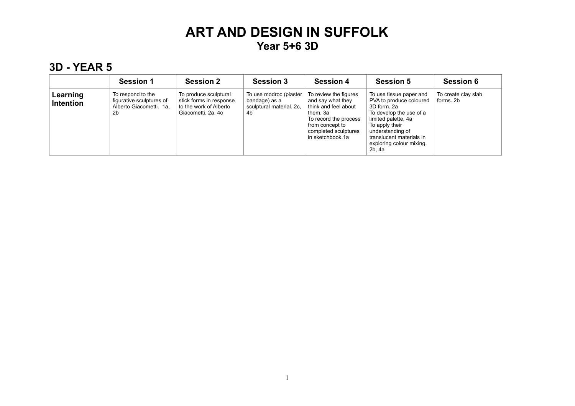#### **3D - YEAR 5**

|                              | <b>Session 1</b>                                                               | <b>Session 2</b>                                                                                 | <b>Session 3</b>                                                          | <b>Session 4</b>                                                                                                                                                       | <b>Session 5</b>                                                                                                                                                                                                            | <b>Session 6</b>                 |
|------------------------------|--------------------------------------------------------------------------------|--------------------------------------------------------------------------------------------------|---------------------------------------------------------------------------|------------------------------------------------------------------------------------------------------------------------------------------------------------------------|-----------------------------------------------------------------------------------------------------------------------------------------------------------------------------------------------------------------------------|----------------------------------|
| Learning<br><b>Intention</b> | To respond to the<br>figurative sculptures of<br>Alberto Giacometti. 1a.<br>2b | To produce sculptural<br>stick forms in response<br>to the work of Alberto<br>Giacometti. 2a, 4c | To use modroc (plaster<br>bandage) as a<br>sculptural material. 2c.<br>4b | To review the figures<br>and say what they<br>think and feel about<br>them. 3a<br>To record the process<br>from concept to<br>completed sculptures<br>in sketchbook.1a | To use tissue paper and<br>PVA to produce coloured<br>3D form, 2a<br>To develop the use of a<br>limited palette. 4a<br>To apply their<br>understanding of<br>translucent materials in<br>exploring colour mixing.<br>2b, 4a | To create clay slab<br>forms, 2b |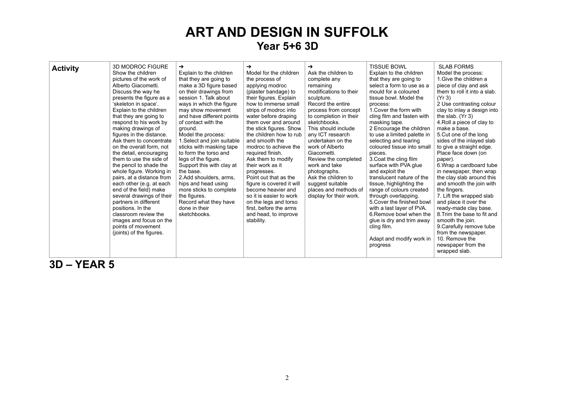| <b>Activity</b> | <b>3D MODROC FIGURE</b><br>Show the children<br>pictures of the work of<br>Alberto Giacometti.<br>Discuss the way he<br>presents the figure as a<br>'skeleton in space'.<br>Explain to the children<br>that they are going to<br>respond to his work by<br>making drawings of<br>figures in the distance.<br>Ask them to concentrate<br>on the overall form, not<br>the detail, encouraging<br>them to use the side of<br>the pencil to shade the<br>whole figure. Working in<br>pairs, at a distance from<br>each other (e.g. at each<br>end of the field) make<br>several drawings of their<br>partners in different<br>positions. In the<br>classroom review the<br>images and focus on the<br>points of movement<br>(joints) of the figures. | →<br>Explain to the children<br>that they are going to<br>make a 3D figure based<br>on their drawings from<br>session 1. Talk about<br>ways in which the figure<br>may show movement<br>and have different points<br>of contact with the<br>ground.<br>Model the process:<br>1. Select and join suitable<br>sticks with masking tape<br>to form the torso and<br>legs of the figure.<br>Support this with clay at<br>the base.<br>2.Add shoulders, arms.<br>hips and head using<br>more sticks to complete<br>the figures.<br>Record what they have<br>done in their<br>sketchbooks. | →<br>Model for the children<br>the process of<br>applying modroc<br>(plaster bandage) to<br>their figures. Explain<br>how to immerse small<br>strips of modroc into<br>water before draping<br>them over and around<br>the stick figures. Show<br>the children how to rub<br>and smooth the<br>modroc to achieve the<br>required finish.<br>Ask them to modify<br>their work as it<br>progresses.<br>Point out that as the<br>figure is covered it will<br>become heavier and<br>so it is easier to work<br>on the legs and torso<br>first, before the arms<br>and head, to improve<br>stability. | →<br>Ask the children to<br>complete any<br>remaining<br>modifications to their<br>sculpture.<br>Record the entire<br>process from concept<br>to completion in their<br>sketchbooks.<br>This should include<br>any ICT research<br>undertaken on the<br>work of Alberto<br>Giacometti.<br>Review the completed<br>work and take<br>photographs.<br>Ask the children to<br>suggest suitable<br>places and methods of<br>display for their work. | <b>TISSUE BOWL</b><br>Explain to the children<br>that they are going to<br>select a form to use as a<br>mould for a coloured<br>tissue bowl. Model the<br>process:<br>1. Cover the form with<br>cling film and fasten with<br>masking tape.<br>2 Encourage the children<br>to use a limited palette in<br>selecting and tearing<br>coloured tissue into small<br>pieces.<br>3. Coat the cling film<br>surface with PVA glue<br>and exploit the<br>translucent nature of the<br>tissue, highlighting the<br>range of colours created<br>through overlapping.<br>5. Cover the finished bowl<br>with a last layer of PVA.<br>6. Remove bowl when the<br>glue is dry and trim away<br>cling film.<br>Adapt and modify work in<br>progress | <b>SLAB FORMS</b><br>Model the process:<br>1. Give the children a<br>piece of clay and ask<br>them to roll it into a slab.<br>(Yr 3)<br>2 Use contrasting colour<br>clay to inlay a design into<br>the slab. $(Yr 3)$<br>4. Roll a piece of clay to<br>make a base.<br>5. Cut one of the long<br>sides of the inlayed slab<br>to give a straight edge.<br>Place face down (on<br>paper).<br>6. Wrap a cardboard tube<br>in newspaper, then wrap<br>the clay slab around this<br>and smooth the join with<br>the fingers.<br>7. Lift the wrapped slab<br>and place it over the<br>ready-made clay base.<br>8. Trim the base to fit and<br>smooth the join.<br>9. Carefully remove tube<br>from the newspaper.<br>10. Remove the<br>newspaper from the<br>wrapped slab. |
|-----------------|--------------------------------------------------------------------------------------------------------------------------------------------------------------------------------------------------------------------------------------------------------------------------------------------------------------------------------------------------------------------------------------------------------------------------------------------------------------------------------------------------------------------------------------------------------------------------------------------------------------------------------------------------------------------------------------------------------------------------------------------------|--------------------------------------------------------------------------------------------------------------------------------------------------------------------------------------------------------------------------------------------------------------------------------------------------------------------------------------------------------------------------------------------------------------------------------------------------------------------------------------------------------------------------------------------------------------------------------------|---------------------------------------------------------------------------------------------------------------------------------------------------------------------------------------------------------------------------------------------------------------------------------------------------------------------------------------------------------------------------------------------------------------------------------------------------------------------------------------------------------------------------------------------------------------------------------------------------|------------------------------------------------------------------------------------------------------------------------------------------------------------------------------------------------------------------------------------------------------------------------------------------------------------------------------------------------------------------------------------------------------------------------------------------------|---------------------------------------------------------------------------------------------------------------------------------------------------------------------------------------------------------------------------------------------------------------------------------------------------------------------------------------------------------------------------------------------------------------------------------------------------------------------------------------------------------------------------------------------------------------------------------------------------------------------------------------------------------------------------------------------------------------------------------------|-----------------------------------------------------------------------------------------------------------------------------------------------------------------------------------------------------------------------------------------------------------------------------------------------------------------------------------------------------------------------------------------------------------------------------------------------------------------------------------------------------------------------------------------------------------------------------------------------------------------------------------------------------------------------------------------------------------------------------------------------------------------------|
|-----------------|--------------------------------------------------------------------------------------------------------------------------------------------------------------------------------------------------------------------------------------------------------------------------------------------------------------------------------------------------------------------------------------------------------------------------------------------------------------------------------------------------------------------------------------------------------------------------------------------------------------------------------------------------------------------------------------------------------------------------------------------------|--------------------------------------------------------------------------------------------------------------------------------------------------------------------------------------------------------------------------------------------------------------------------------------------------------------------------------------------------------------------------------------------------------------------------------------------------------------------------------------------------------------------------------------------------------------------------------------|---------------------------------------------------------------------------------------------------------------------------------------------------------------------------------------------------------------------------------------------------------------------------------------------------------------------------------------------------------------------------------------------------------------------------------------------------------------------------------------------------------------------------------------------------------------------------------------------------|------------------------------------------------------------------------------------------------------------------------------------------------------------------------------------------------------------------------------------------------------------------------------------------------------------------------------------------------------------------------------------------------------------------------------------------------|---------------------------------------------------------------------------------------------------------------------------------------------------------------------------------------------------------------------------------------------------------------------------------------------------------------------------------------------------------------------------------------------------------------------------------------------------------------------------------------------------------------------------------------------------------------------------------------------------------------------------------------------------------------------------------------------------------------------------------------|-----------------------------------------------------------------------------------------------------------------------------------------------------------------------------------------------------------------------------------------------------------------------------------------------------------------------------------------------------------------------------------------------------------------------------------------------------------------------------------------------------------------------------------------------------------------------------------------------------------------------------------------------------------------------------------------------------------------------------------------------------------------------|

**3D – YEAR 5**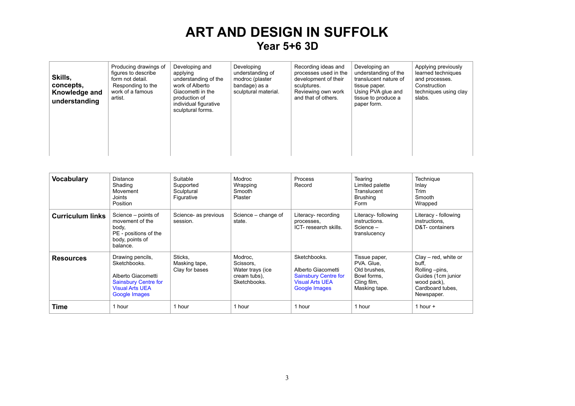| Skills,<br>concepts,<br>Knowledge and<br>understanding | Producing drawings of<br>figures to describe<br>form not detail.<br>Responding to the<br>work of a famous<br>artist. | Developing and<br>applying<br>understanding of the<br>work of Alberto<br>Giacometti in the<br>production of<br>individual figurative<br>sculptural forms. | Developing<br>understanding of<br>modroc (plaster<br>bandage) as a<br>sculptural material. | Recording ideas and<br>processes used in the<br>development of their<br>sculptures.<br>Reviewing own work<br>and that of others. | Developing an<br>understanding of the<br>translucent nature of<br>tissue paper.<br>Using PVA glue and<br>tissue to produce a<br>paper form. | Applying previously<br>learned techniques<br>and processes.<br>Construction<br>techniques using clay<br>slabs. |
|--------------------------------------------------------|----------------------------------------------------------------------------------------------------------------------|-----------------------------------------------------------------------------------------------------------------------------------------------------------|--------------------------------------------------------------------------------------------|----------------------------------------------------------------------------------------------------------------------------------|---------------------------------------------------------------------------------------------------------------------------------------------|----------------------------------------------------------------------------------------------------------------|
|--------------------------------------------------------|----------------------------------------------------------------------------------------------------------------------|-----------------------------------------------------------------------------------------------------------------------------------------------------------|--------------------------------------------------------------------------------------------|----------------------------------------------------------------------------------------------------------------------------------|---------------------------------------------------------------------------------------------------------------------------------------------|----------------------------------------------------------------------------------------------------------------|

| <b>Vocabulary</b>       | <b>Distance</b><br>Shading<br>Movement<br>Joints<br>Position                                                                     | Suitable<br>Supported<br>Sculptural<br>Figurative | Modroc<br>Wrapping<br>Smooth<br>Plaster                                  | Process<br>Record                                                                                            | Tearing<br>Limited palette<br>Translucent<br><b>Brushing</b><br>Form                       | Technique<br>Inlay<br>Trim<br>Smooth<br>Wrapped                                                                            |
|-------------------------|----------------------------------------------------------------------------------------------------------------------------------|---------------------------------------------------|--------------------------------------------------------------------------|--------------------------------------------------------------------------------------------------------------|--------------------------------------------------------------------------------------------|----------------------------------------------------------------------------------------------------------------------------|
| <b>Curriculum links</b> | Science – points of<br>movement of the<br>body,<br>PE - positions of the<br>body, points of<br>balance.                          | Science- as previous<br>session.                  | Science – change of<br>state.                                            | Literacy-recording<br>processes,<br>ICT-research skills.                                                     | Literacy- following<br>instructions.<br>Science -<br>translucency                          | Literacy - following<br>instructions,<br>D&T- containers                                                                   |
| <b>Resources</b>        | Drawing pencils,<br>Sketchbooks.<br>Alberto Giacometti<br><b>Sainsbury Centre for</b><br><b>Visual Arts UEA</b><br>Google Images | Sticks,<br>Masking tape,<br>Clay for bases        | Modroc.<br>Scissors,<br>Water trays (ice<br>cream tubs).<br>Sketchbooks. | Sketchbooks.<br>Alberto Giacometti<br><b>Sainsbury Centre for</b><br><b>Visual Arts UEA</b><br>Google Images | Tissue paper,<br>PVA. Glue,<br>Old brushes.<br>Bowl forms.<br>Cling film,<br>Masking tape. | $Clav - red$ , white or<br>buff,<br>Rolling – pins,<br>Guides (1cm junior<br>wood pack),<br>Cardboard tubes.<br>Newspaper. |
| Time                    | 1 hour                                                                                                                           | 1 hour                                            | 1 hour                                                                   | 1 hour                                                                                                       | 1 hour                                                                                     | 1 hour $+$                                                                                                                 |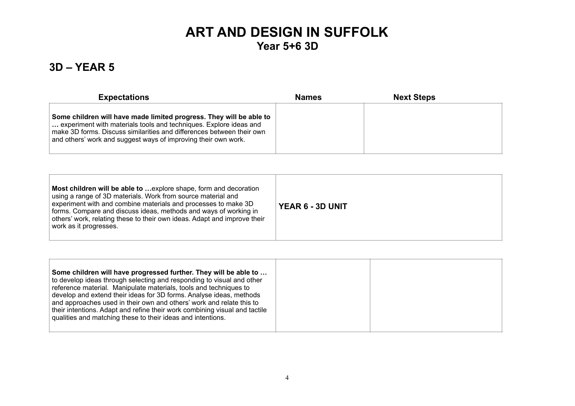#### **3D – YEAR 5**

| <b>Expectations</b>                                                                                                                                                                                                                                                                 | <b>Names</b> | <b>Next Steps</b> |  |
|-------------------------------------------------------------------------------------------------------------------------------------------------------------------------------------------------------------------------------------------------------------------------------------|--------------|-------------------|--|
| Some children will have made limited progress. They will be able to<br>experiment with materials tools and techniques. Explore ideas and<br>make 3D forms. Discuss similarities and differences between their own<br>and others' work and suggest ways of improving their own work. |              |                   |  |

| Most children will be able to  explore shape, form and decoration<br>using a range of 3D materials. Work from source material and<br>experiment with and combine materials and processes to make 3D<br>forms. Compare and discuss ideas, methods and ways of working in<br>others' work, relating these to their own ideas. Adapt and improve their<br>work as it progresses. | <b>YEAR 6 - 3D UNIT</b> |
|-------------------------------------------------------------------------------------------------------------------------------------------------------------------------------------------------------------------------------------------------------------------------------------------------------------------------------------------------------------------------------|-------------------------|

| Some children will have progressed further. They will be able to<br>to develop ideas through selecting and responding to visual and other<br>reference material. Manipulate materials, tools and techniques to<br>develop and extend their ideas for 3D forms. Analyse ideas, methods<br>and approaches used in their own and others' work and relate this to<br>their intentions. Adapt and refine their work combining visual and tactile<br>qualities and matching these to their ideas and intentions. |  |
|------------------------------------------------------------------------------------------------------------------------------------------------------------------------------------------------------------------------------------------------------------------------------------------------------------------------------------------------------------------------------------------------------------------------------------------------------------------------------------------------------------|--|